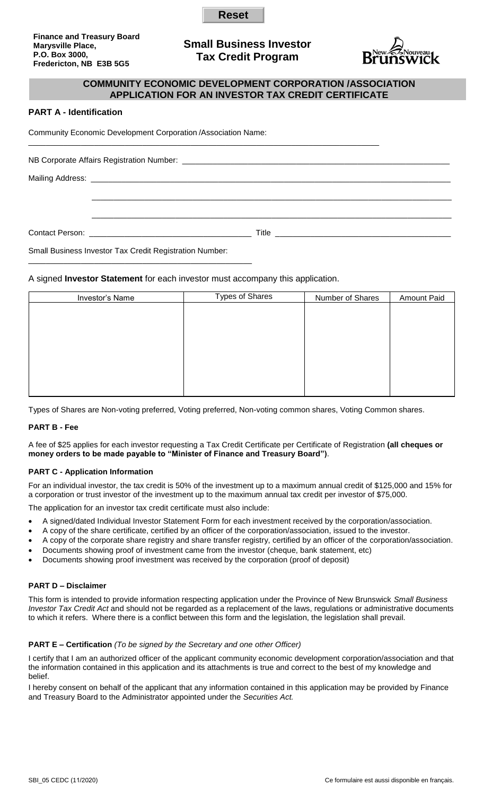**Reset** 

**Finance and Treasury Board Marysville Place, P.O. Box 3000, Fredericton, NB E3B 5G5**

# **Small Business Investor Tax Credit Program**



## **COMMUNITY ECONOMIC DEVELOPMENT CORPORATION /ASSOCIATION APPLICATION FOR AN INVESTOR TAX CREDIT CERTIFICATE**

## **PART A - Identification**

Community Economic Development Corporation /Association Name:

\_\_\_\_\_\_\_\_\_\_\_\_\_\_\_\_\_\_\_\_\_\_\_\_\_\_\_\_\_\_\_\_\_\_\_\_\_\_\_\_\_\_\_\_\_\_\_\_\_\_\_

\_\_\_\_\_\_\_\_\_\_\_\_\_\_\_\_\_\_\_\_\_\_\_\_\_\_\_\_\_\_\_\_\_\_\_\_\_\_\_\_\_\_\_\_\_\_\_\_\_\_\_\_\_\_\_\_\_\_\_\_\_\_\_\_\_\_\_\_\_\_\_\_\_\_\_\_\_\_\_\_ NB Corporate Affairs Registration Number: Mailing Address:  $\mathcal{L}_\text{max}$  , and the contribution of the contribution of the contribution of the contribution of the contribution of the contribution of the contribution of the contribution of the contribution of the contribution of t  $\mathcal{L}_\text{max} = \frac{1}{2} \sum_{i=1}^{n} \frac{1}{2} \sum_{i=1}^{n} \frac{1}{2} \sum_{i=1}^{n} \frac{1}{2} \sum_{i=1}^{n} \frac{1}{2} \sum_{i=1}^{n} \frac{1}{2} \sum_{i=1}^{n} \frac{1}{2} \sum_{i=1}^{n} \frac{1}{2} \sum_{i=1}^{n} \frac{1}{2} \sum_{i=1}^{n} \frac{1}{2} \sum_{i=1}^{n} \frac{1}{2} \sum_{i=1}^{n} \frac{1}{2} \sum_{i=1}^{n} \frac{1$ Contact Person: **Example 20** and  $\overline{a}$  and  $\overline{b}$  and  $\overline{c}$  and  $\overline{d}$  and  $\overline{c}$  and  $\overline{d}$  and  $\overline{d}$  and  $\overline{d}$  and  $\overline{d}$  and  $\overline{d}$  and  $\overline{d}$  and  $\overline{d}$  and  $\overline{d}$  and  $\overline{d}$  and  $\overline{d}$ Small Business Investor Tax Credit Registration Number:

# A signed **Investor Statement** for each investor must accompany this application.

| Investor's Name | <b>Types of Shares</b> | Number of Shares | <b>Amount Paid</b> |
|-----------------|------------------------|------------------|--------------------|
|                 |                        |                  |                    |
|                 |                        |                  |                    |
|                 |                        |                  |                    |
|                 |                        |                  |                    |
|                 |                        |                  |                    |
|                 |                        |                  |                    |
|                 |                        |                  |                    |
|                 |                        |                  |                    |

Types of Shares are Non-voting preferred, Voting preferred, Non-voting common shares, Voting Common shares.

#### **PART B - Fee**

A fee of \$25 applies for each investor requesting a Tax Credit Certificate per Certificate of Registration **(all cheques or money orders to be made payable to "Minister of Finance and Treasury Board")**.

#### **PART C - Application Information**

For an individual investor, the tax credit is 50% of the investment up to a maximum annual credit of \$125,000 and 15% for a corporation or trust investor of the investment up to the maximum annual tax credit per investor of \$75,000.

The application for an investor tax credit certificate must also include:

- A signed/dated Individual Investor Statement Form for each investment received by the corporation/association.
- A copy of the share certificate, certified by an officer of the corporation/association, issued to the investor.
- A copy of the corporate share registry and share transfer registry, certified by an officer of the corporation/association.
- Documents showing proof of investment came from the investor (cheque, bank statement, etc)
- Documents showing proof investment was received by the corporation (proof of deposit)

#### **PART D – Disclaimer**

This form is intended to provide information respecting application under the Province of New Brunswick *Small Business Investor Tax Credit Act* and should not be regarded as a replacement of the laws, regulations or administrative documents to which it refers. Where there is a conflict between this form and the legislation, the legislation shall prevail.

#### **PART E – Certification** *(To be signed by the Secretary and one other Officer)*

I certify that I am an authorized officer of the applicant community economic development corporation/association and that the information contained in this application and its attachments is true and correct to the best of my knowledge and belief.

I hereby consent on behalf of the applicant that any information contained in this application may be provided by Finance and Treasury Board to the Administrator appointed under the *Securities Act.*